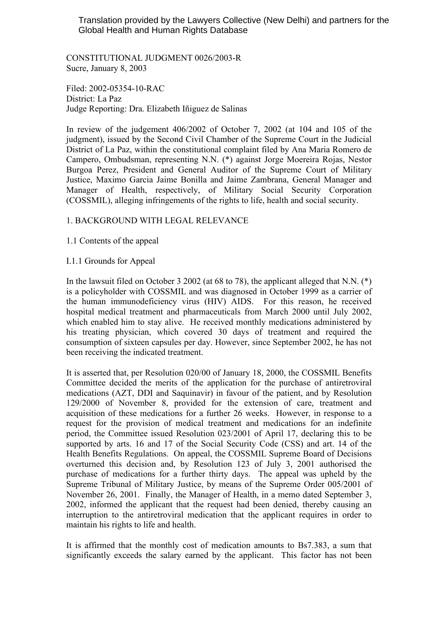## Translation provided by the Lawyers Collective (New Delhi) and partners for the Global Health and Human Rights Database

CONSTITUTIONAL JUDGMENT 0026/2003-R Sucre, January 8, 2003

Filed: 2002-05354-10-RAC District: La Paz Judge Reporting: Dra. Elizabeth Iñiguez de Salinas

In review of the judgement 406/2002 of October 7, 2002 (at 104 and 105 of the judgment), issued by the Second Civil Chamber of the Supreme Court in the Judicial District of La Paz, within the constitutional complaint filed by Ana Maria Romero de Campero, Ombudsman, representing N.N. (\*) against Jorge Moereira Rojas, Nestor Burgoa Perez, President and General Auditor of the Supreme Court of Military Justice, Maximo Garcia Jaime Bonilla and Jaime Zambrana, General Manager and Manager of Health, respectively, of Military Social Security Corporation (COSSMIL), alleging infringements of the rights to life, health and social security.

# 1. BACKGROUND WITH LEGAL RELEVANCE

- 1.1 Contents of the appeal
- I.1.1 Grounds for Appeal

In the lawsuit filed on October 3 2002 (at 68 to 78), the applicant alleged that N.N. (\*) is a policyholder with COSSMIL and was diagnosed in October 1999 as a carrier of the human immunodeficiency virus (HIV) AIDS. For this reason, he received hospital medical treatment and pharmaceuticals from March 2000 until July 2002, which enabled him to stay alive. He received monthly medications administered by his treating physician, which covered 30 days of treatment and required the consumption of sixteen capsules per day. However, since September 2002, he has not been receiving the indicated treatment.

It is asserted that, per Resolution 020/00 of January 18, 2000, the COSSMIL Benefits Committee decided the merits of the application for the purchase of antiretroviral medications (AZT, DDI and Saquinavir) in favour of the patient, and by Resolution 129/2000 of November 8, provided for the extension of care, treatment and acquisition of these medications for a further 26 weeks. However, in response to a request for the provision of medical treatment and medications for an indefinite period, the Committee issued Resolution 023/2001 of April 17, declaring this to be supported by arts. 16 and 17 of the Social Security Code (CSS) and art. 14 of the Health Benefits Regulations. On appeal, the COSSMIL Supreme Board of Decisions overturned this decision and, by Resolution 123 of July 3, 2001 authorised the purchase of medications for a further thirty days. The appeal was upheld by the Supreme Tribunal of Military Justice, by means of the Supreme Order 005/2001 of November 26, 2001. Finally, the Manager of Health, in a memo dated September 3, 2002, informed the applicant that the request had been denied, thereby causing an interruption to the antiretroviral medication that the applicant requires in order to maintain his rights to life and health.

It is affirmed that the monthly cost of medication amounts to Bs7.383, a sum that significantly exceeds the salary earned by the applicant. This factor has not been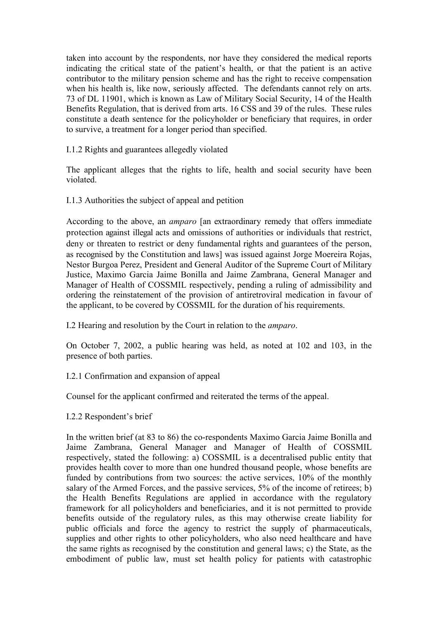taken into account by the respondents, nor have they considered the medical reports indicating the critical state of the patient's health, or that the patient is an active contributor to the military pension scheme and has the right to receive compensation when his health is, like now, seriously affected. The defendants cannot rely on arts. 73 of DL 11901, which is known as Law of Military Social Security, 14 of the Health Benefits Regulation, that is derived from arts. 16 CSS and 39 of the rules. These rules constitute a death sentence for the policyholder or beneficiary that requires, in order to survive, a treatment for a longer period than specified.

I.1.2 Rights and guarantees allegedly violated

The applicant alleges that the rights to life, health and social security have been violated.

I.1.3 Authorities the subject of appeal and petition

According to the above, an *amparo* [an extraordinary remedy that offers immediate protection against illegal acts and omissions of authorities or individuals that restrict, deny or threaten to restrict or deny fundamental rights and guarantees of the person, as recognised by the Constitution and laws] was issued against Jorge Moereira Rojas, Nestor Burgoa Perez, President and General Auditor of the Supreme Court of Military Justice, Maximo Garcia Jaime Bonilla and Jaime Zambrana, General Manager and Manager of Health of COSSMIL respectively, pending a ruling of admissibility and ordering the reinstatement of the provision of antiretroviral medication in favour of the applicant, to be covered by COSSMIL for the duration of his requirements.

I.2 Hearing and resolution by the Court in relation to the *amparo*.

On October 7, 2002, a public hearing was held, as noted at 102 and 103, in the presence of both parties.

I.2.1 Confirmation and expansion of appeal

Counsel for the applicant confirmed and reiterated the terms of the appeal.

I.2.2 Respondent's brief

In the written brief (at 83 to 86) the co-respondents Maximo Garcia Jaime Bonilla and Jaime Zambrana, General Manager and Manager of Health of COSSMIL respectively, stated the following: a) COSSMIL is a decentralised public entity that provides health cover to more than one hundred thousand people, whose benefits are funded by contributions from two sources: the active services, 10% of the monthly salary of the Armed Forces, and the passive services, 5% of the income of retirees; b) the Health Benefits Regulations are applied in accordance with the regulatory framework for all policyholders and beneficiaries, and it is not permitted to provide benefits outside of the regulatory rules, as this may otherwise create liability for public officials and force the agency to restrict the supply of pharmaceuticals, supplies and other rights to other policyholders, who also need healthcare and have the same rights as recognised by the constitution and general laws; c) the State, as the embodiment of public law, must set health policy for patients with catastrophic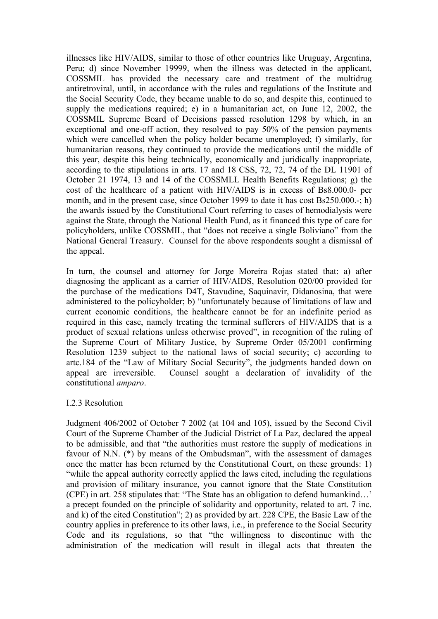illnesses like HIV/AIDS, similar to those of other countries like Uruguay, Argentina, Peru; d) since November 19999, when the illness was detected in the applicant, COSSMIL has provided the necessary care and treatment of the multidrug antiretroviral, until, in accordance with the rules and regulations of the Institute and the Social Security Code, they became unable to do so, and despite this, continued to supply the medications required; e) in a humanitarian act, on June 12, 2002, the COSSMIL Supreme Board of Decisions passed resolution 1298 by which, in an exceptional and one-off action, they resolved to pay 50% of the pension payments which were cancelled when the policy holder became unemployed; f) similarly, for humanitarian reasons, they continued to provide the medications until the middle of this year, despite this being technically, economically and juridically inappropriate, according to the stipulations in arts. 17 and 18 CSS, 72, 72, 74 of the DL 11901 of October 21 1974, 13 and 14 of the COSSMLL Health Benefits Regulations; g) the cost of the healthcare of a patient with HIV/AIDS is in excess of Bs8.000.0- per month, and in the present case, since October 1999 to date it has cost Bs250.000.-; h) the awards issued by the Constitutional Court referring to cases of hemodialysis were against the State, through the National Health Fund, as it financed this type of care for policyholders, unlike COSSMIL, that "does not receive a single Boliviano" from the National General Treasury. Counsel for the above respondents sought a dismissal of the appeal.

In turn, the counsel and attorney for Jorge Moreira Rojas stated that: a) after diagnosing the applicant as a carrier of HIV/AIDS, Resolution 020/00 provided for the purchase of the medications D4T, Stavudine, Saquinavir, Didanosina, that were administered to the policyholder; b) "unfortunately because of limitations of law and current economic conditions, the healthcare cannot be for an indefinite period as required in this case, namely treating the terminal sufferers of HIV/AIDS that is a product of sexual relations unless otherwise proved", in recognition of the ruling of the Supreme Court of Military Justice, by Supreme Order 05/2001 confirming Resolution 1239 subject to the national laws of social security; c) according to artc.184 of the "Law of Military Social Security", the judgments handed down on appeal are irreversible. Counsel sought a declaration of invalidity of the constitutional *amparo*.

### I.2.3 Resolution

Judgment 406/2002 of October 7 2002 (at 104 and 105), issued by the Second Civil Court of the Supreme Chamber of the Judicial District of La Paz, declared the appeal to be admissible, and that "the authorities must restore the supply of medications in favour of N.N. (\*) by means of the Ombudsman", with the assessment of damages once the matter has been returned by the Constitutional Court, on these grounds: 1) "while the appeal authority correctly applied the laws cited, including the regulations and provision of military insurance, you cannot ignore that the State Constitution (CPE) in art. 258 stipulates that: "The State has an obligation to defend humankind…' a precept founded on the principle of solidarity and opportunity, related to art. 7 inc. and k) of the cited Constitution"; 2) as provided by art. 228 CPE, the Basic Law of the country applies in preference to its other laws, i.e., in preference to the Social Security Code and its regulations, so that "the willingness to discontinue with the administration of the medication will result in illegal acts that threaten the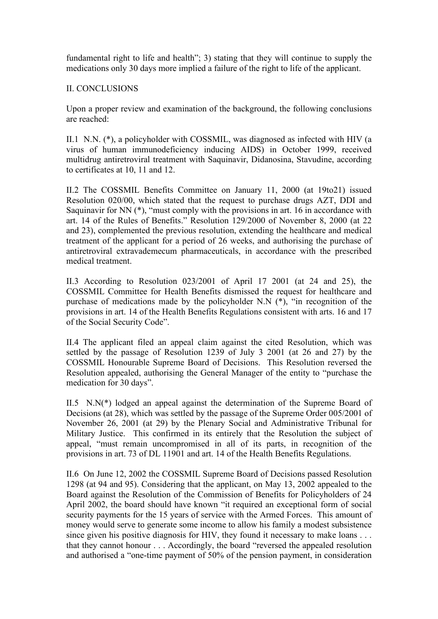fundamental right to life and health"; 3) stating that they will continue to supply the medications only 30 days more implied a failure of the right to life of the applicant.

## II. CONCLUSIONS

Upon a proper review and examination of the background, the following conclusions are reached:

II.1 N.N. (\*), a policyholder with COSSMIL, was diagnosed as infected with HIV (a virus of human immunodeficiency inducing AIDS) in October 1999, received multidrug antiretroviral treatment with Saquinavir, Didanosina, Stavudine, according to certificates at 10, 11 and 12.

II.2 The COSSMIL Benefits Committee on January 11, 2000 (at 19to21) issued Resolution 020/00, which stated that the request to purchase drugs AZT, DDI and Saquinavir for NN  $(*)$ , "must comply with the provisions in art. 16 in accordance with art. 14 of the Rules of Benefits." Resolution 129/2000 of November 8, 2000 (at 22 and 23), complemented the previous resolution, extending the healthcare and medical treatment of the applicant for a period of 26 weeks, and authorising the purchase of antiretroviral extravademecum pharmaceuticals, in accordance with the prescribed medical treatment.

II.3 According to Resolution 023/2001 of April 17 2001 (at 24 and 25), the COSSMIL Committee for Health Benefits dismissed the request for healthcare and purchase of medications made by the policyholder N.N (\*), "in recognition of the provisions in art. 14 of the Health Benefits Regulations consistent with arts. 16 and 17 of the Social Security Code".

II.4 The applicant filed an appeal claim against the cited Resolution, which was settled by the passage of Resolution 1239 of July 3 2001 (at 26 and 27) by the COSSMIL Honourable Supreme Board of Decisions. This Resolution reversed the Resolution appealed, authorising the General Manager of the entity to "purchase the medication for 30 days".

II.5 N.N(\*) lodged an appeal against the determination of the Supreme Board of Decisions (at 28), which was settled by the passage of the Supreme Order 005/2001 of November 26, 2001 (at 29) by the Plenary Social and Administrative Tribunal for Military Justice. This confirmed in its entirely that the Resolution the subject of appeal, "must remain uncompromised in all of its parts, in recognition of the provisions in art. 73 of DL 11901 and art. 14 of the Health Benefits Regulations.

II.6 On June 12, 2002 the COSSMIL Supreme Board of Decisions passed Resolution 1298 (at 94 and 95). Considering that the applicant, on May 13, 2002 appealed to the Board against the Resolution of the Commission of Benefits for Policyholders of 24 April 2002, the board should have known "it required an exceptional form of social security payments for the 15 years of service with the Armed Forces. This amount of money would serve to generate some income to allow his family a modest subsistence since given his positive diagnosis for HIV, they found it necessary to make loans . . . that they cannot honour . . . Accordingly, the board "reversed the appealed resolution and authorised a "one-time payment of 50% of the pension payment, in consideration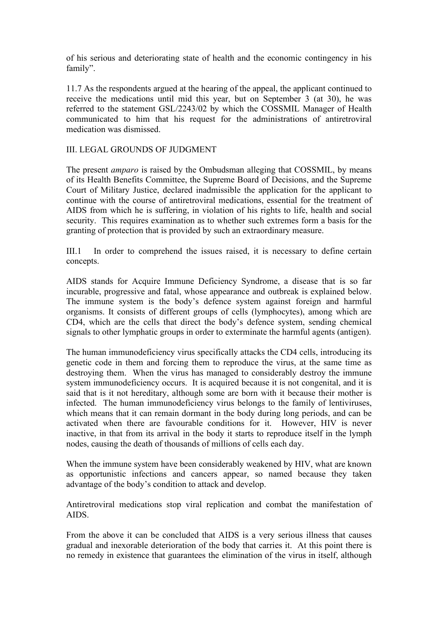of his serious and deteriorating state of health and the economic contingency in his family".

11.7 As the respondents argued at the hearing of the appeal, the applicant continued to receive the medications until mid this year, but on September 3 (at 30), he was referred to the statement GSL/2243/02 by which the COSSMIL Manager of Health communicated to him that his request for the administrations of antiretroviral medication was dismissed.

# III. LEGAL GROUNDS OF JUDGMENT

The present *amparo* is raised by the Ombudsman alleging that COSSMIL, by means of its Health Benefits Committee, the Supreme Board of Decisions, and the Supreme Court of Military Justice, declared inadmissible the application for the applicant to continue with the course of antiretroviral medications, essential for the treatment of AIDS from which he is suffering, in violation of his rights to life, health and social security. This requires examination as to whether such extremes form a basis for the granting of protection that is provided by such an extraordinary measure.

III.1 In order to comprehend the issues raised, it is necessary to define certain concepts.

AIDS stands for Acquire Immune Deficiency Syndrome, a disease that is so far incurable, progressive and fatal, whose appearance and outbreak is explained below. The immune system is the body's defence system against foreign and harmful organisms. It consists of different groups of cells (lymphocytes), among which are CD4, which are the cells that direct the body's defence system, sending chemical signals to other lymphatic groups in order to exterminate the harmful agents (antigen).

The human immunodeficiency virus specifically attacks the CD4 cells, introducing its genetic code in them and forcing them to reproduce the virus, at the same time as destroying them. When the virus has managed to considerably destroy the immune system immunodeficiency occurs. It is acquired because it is not congenital, and it is said that is it not hereditary, although some are born with it because their mother is infected. The human immunodeficiency virus belongs to the family of lentiviruses, which means that it can remain dormant in the body during long periods, and can be activated when there are favourable conditions for it. However, HIV is never inactive, in that from its arrival in the body it starts to reproduce itself in the lymph nodes, causing the death of thousands of millions of cells each day.

When the immune system have been considerably weakened by HIV, what are known as opportunistic infections and cancers appear, so named because they taken advantage of the body's condition to attack and develop.

Antiretroviral medications stop viral replication and combat the manifestation of AIDS.

From the above it can be concluded that AIDS is a very serious illness that causes gradual and inexorable deterioration of the body that carries it. At this point there is no remedy in existence that guarantees the elimination of the virus in itself, although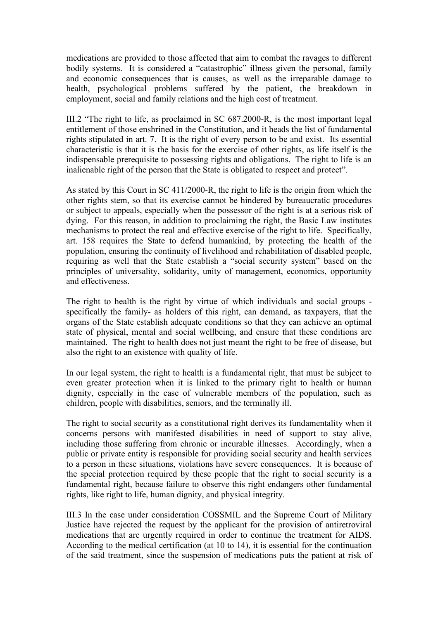medications are provided to those affected that aim to combat the ravages to different bodily systems. It is considered a "catastrophic" illness given the personal, family and economic consequences that is causes, as well as the irreparable damage to health, psychological problems suffered by the patient, the breakdown in employment, social and family relations and the high cost of treatment.

III.2 "The right to life, as proclaimed in SC 687.2000-R, is the most important legal entitlement of those enshrined in the Constitution, and it heads the list of fundamental rights stipulated in art. 7. It is the right of every person to be and exist. Its essential characteristic is that it is the basis for the exercise of other rights, as life itself is the indispensable prerequisite to possessing rights and obligations. The right to life is an inalienable right of the person that the State is obligated to respect and protect".

As stated by this Court in SC 411/2000-R, the right to life is the origin from which the other rights stem, so that its exercise cannot be hindered by bureaucratic procedures or subject to appeals, especially when the possessor of the right is at a serious risk of dying. For this reason, in addition to proclaiming the right, the Basic Law institutes mechanisms to protect the real and effective exercise of the right to life. Specifically, art. 158 requires the State to defend humankind, by protecting the health of the population, ensuring the continuity of livelihood and rehabilitation of disabled people, requiring as well that the State establish a "social security system" based on the principles of universality, solidarity, unity of management, economics, opportunity and effectiveness.

The right to health is the right by virtue of which individuals and social groups specifically the family- as holders of this right, can demand, as taxpayers, that the organs of the State establish adequate conditions so that they can achieve an optimal state of physical, mental and social wellbeing, and ensure that these conditions are maintained. The right to health does not just meant the right to be free of disease, but also the right to an existence with quality of life.

In our legal system, the right to health is a fundamental right, that must be subject to even greater protection when it is linked to the primary right to health or human dignity, especially in the case of vulnerable members of the population, such as children, people with disabilities, seniors, and the terminally ill.

The right to social security as a constitutional right derives its fundamentality when it concerns persons with manifested disabilities in need of support to stay alive, including those suffering from chronic or incurable illnesses. Accordingly, when a public or private entity is responsible for providing social security and health services to a person in these situations, violations have severe consequences. It is because of the special protection required by these people that the right to social security is a fundamental right, because failure to observe this right endangers other fundamental rights, like right to life, human dignity, and physical integrity.

III.3 In the case under consideration COSSMIL and the Supreme Court of Military Justice have rejected the request by the applicant for the provision of antiretroviral medications that are urgently required in order to continue the treatment for AIDS. According to the medical certification (at 10 to 14), it is essential for the continuation of the said treatment, since the suspension of medications puts the patient at risk of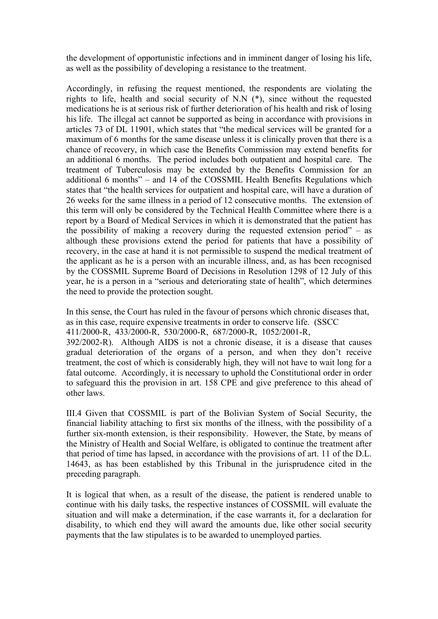the development of opportunistic infections and in imminent danger of losing his life, as well as the possibility of developing a resistance to the treatment.

Accordingly, in refusing the request mentioned, the respondents are violating the rights to life, health and social security of N.N (\*), since without the requested medications he is at serious risk of further deterioration of his health and risk of losing his life. The illegal act cannot be supported as being in accordance with provisions in articles 73 of DL 11901, which states that "the medical services will be granted for a maximum of 6 months for the same disease unless it is clinically proven that there is a chance of recovery, in which case the Benefits Commission may extend benefits for an additional 6 months. The period includes both outpatient and hospital care. The treatment of Tuberculosis may be extended by the Benefits Commission for an additional 6 months" – and 14 of the COSSMIL Health Benefits Regulations which states that "the health services for outpatient and hospital care, will have a duration of 26 weeks for the same illness in a period of 12 consecutive months. The extension of this term will only be considered by the Technical Health Committee where there is a report by a Board of Medical Services in which it is demonstrated that the patient has the possibility of making a recovery during the requested extension period" – as although these provisions extend the period for patients that have a possibility of recovery, in the case at hand it is not permissible to suspend the medical treatment of the applicant as he is a person with an incurable illness, and, as has been recognised by the COSSMIL Supreme Board of Decisions in Resolution 1298 of 12 July of this year, he is a person in a "serious and deteriorating state of health", which determines the need to provide the protection sought.

In this sense, the Court has ruled in the favour of persons which chronic diseases that, as in this case, require expensive treatments in order to conserve life. (SSCC 411/2000-R, 433/2000-R, 530/2000-R, 687/2000-R, 1052/2001-R,

392/2002-R). Although AIDS is not a chronic disease, it is a disease that causes gradual deterioration of the organs of a person, and when they don't receive treatment, the cost of which is considerably high, they will not have to wait long for a fatal outcome. Accordingly, it is necessary to uphold the Constitutional order in order to safeguard this the provision in art. 158 CPE and give preference to this ahead of other laws.

III.4 Given that COSSMIL is part of the Bolivian System of Social Security, the financial liability attaching to first six months of the illness, with the possibility of a further six-month extension, is their responsibility. However, the State, by means of the Ministry of Health and Social Welfare, is obligated to continue the treatment after that period of time has lapsed, in accordance with the provisions of art. 11 of the D.L. 14643, as has been established by this Tribunal in the jurisprudence cited in the preceding paragraph.

It is logical that when, as a result of the disease, the patient is rendered unable to continue with his daily tasks, the respective instances of COSSMIL will evaluate the situation and will make a determination, if the case warrants it, for a declaration for disability, to which end they will award the amounts due, like other social security payments that the law stipulates is to be awarded to unemployed parties.